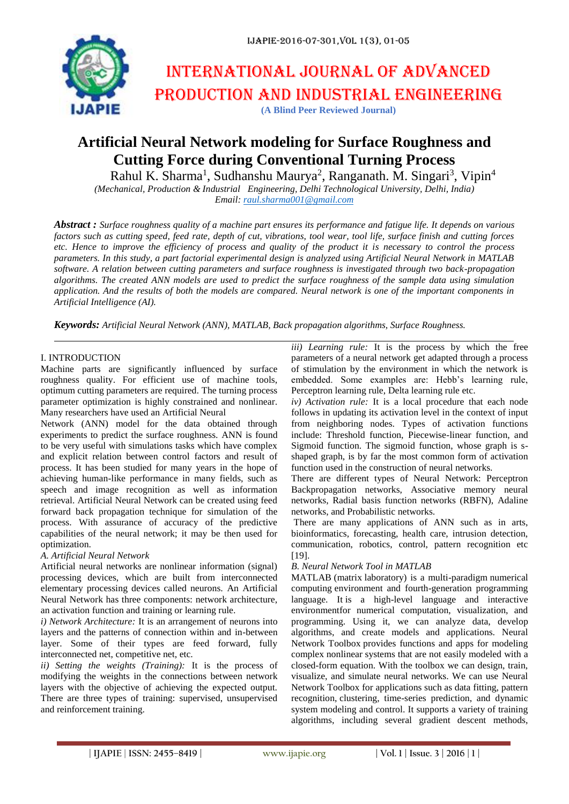

# International journal of advanced production and industrial engineering

**(A Blind Peer Reviewed Journal)**

# **Artificial Neural Network modeling for Surface Roughness and Cutting Force during Conventional Turning Process**

Rahul K. Sharma<sup>1</sup>, Sudhanshu Maurya<sup>2</sup>, Ranganath. M. Singari<sup>3</sup>, Vipin<sup>4</sup>

*(Mechanical, Production & Industrial Engineering, Delhi Technological University, Delhi, India) Email: [raul.sharma001@gmail.com](mailto:raul.sharma001@gmail.com)*

*Abstract : Surface roughness quality of a machine part ensures its performance and fatigue life. It depends on various factors such as cutting speed, feed rate, depth of cut, vibrations, tool wear, tool life, surface finish and cutting forces etc. Hence to improve the efficiency of process and quality of the product it is necessary to control the process parameters. In this study, a part factorial experimental design is analyzed using Artificial Neural Network in MATLAB software. A relation between cutting parameters and surface roughness is investigated through two back-propagation algorithms. The created ANN models are used to predict the surface roughness of the sample data using simulation application. And the results of both the models are compared. Neural network is one of the important components in Artificial Intelligence (AI).*

*Keywords: Artificial Neural Network (ANN), MATLAB, Back propagation algorithms, Surface Roughness.*

# I. INTRODUCTION

Machine parts are significantly influenced by surface roughness quality. For efficient use of machine tools, optimum cutting parameters are required*.* The turning process parameter optimization is highly constrained and nonlinear. Many researchers have used an Artificial Neural

Network (ANN) model for the data obtained through experiments to predict the surface roughness. ANN is found to be very useful with simulations tasks which have complex and explicit relation between control factors and result of process. It has been studied for many years in the hope of achieving human-like performance in many fields, such as speech and image recognition as well as information retrieval. Artificial Neural Network can be created using feed forward back propagation technique for simulation of the process. With assurance of accuracy of the predictive capabilities of the neural network; it may be then used for optimization.

# *A. Artificial Neural Network*

Artificial neural networks are nonlinear information (signal) processing devices, which are built from interconnected elementary processing devices called neurons. An Artificial Neural Network has three components: network architecture, an activation function and training or learning rule.

*i) Network Architecture:* It is an arrangement of neurons into layers and the patterns of connection within and in-between layer. Some of their types are feed forward, fully interconnected net, competitive net, etc.

*ii) Setting the weights (Training):* It is the process of modifying the weights in the connections between network layers with the objective of achieving the expected output. There are three types of training: supervised, unsupervised and reinforcement training.

*iii) Learning rule:* It is the process by which the free parameters of a neural network get adapted through a process of stimulation by the environment in which the network is embedded. Some examples are: Hebb's learning rule, Perceptron learning rule, Delta learning rule etc.

*iv) Activation rule:* It is a local procedure that each node follows in updating its activation level in the context of input from neighboring nodes. Types of activation functions include: Threshold function, Piecewise-linear function, and Sigmoid function. The sigmoid function, whose graph is sshaped graph, is by far the most common form of activation function used in the construction of neural networks.

There are different types of Neural Network: Perceptron Backpropagation networks, Associative memory neural networks, Radial basis function networks (RBFN), Adaline networks, and Probabilistic networks.

There are many applications of ANN such as in arts, bioinformatics, forecasting, health care, intrusion detection, communication, robotics, control, pattern recognition etc [19].

# *B. Neural Network Tool in MATLAB*

MATLAB (matrix laboratory) is a multi-paradigm numerical computing environment and fourth-generation programming language. It is a high-level language and interactive environmentfor numerical computation, visualization, and programming. Using it, we can analyze data, develop algorithms, and create models and applications. Neural Network Toolbox provides functions and apps for modeling complex nonlinear systems that are not easily modeled with a closed-form equation. With the toolbox we can design, train, visualize, and simulate neural networks. We can use Neural Network Toolbox for applications such as data fitting, pattern recognition, clustering, time-series prediction, and dynamic system modeling and control. It supports a variety of training algorithms, including several gradient descent methods,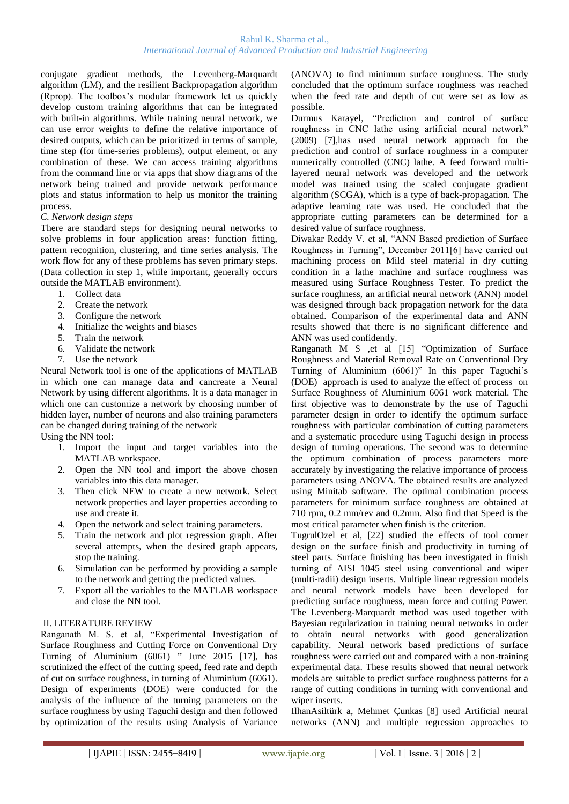conjugate gradient methods, the Levenberg-Marquardt algorithm (LM), and the resilient Backpropagation algorithm (Rprop). The toolbox's modular framework let us quickly develop custom training algorithms that can be integrated with built-in algorithms. While training neural network, we can use error weights to define the relative importance of desired outputs, which can be prioritized in terms of sample, time step (for time-series problems), output element, or any combination of these. We can access training algorithms from the command line or via apps that show diagrams of the network being trained and provide network performance plots and status information to help us monitor the training process.

#### *C. Network design steps*

There are standard steps for designing neural networks to solve problems in four application areas: function fitting, pattern recognition, clustering, and time series analysis. The work flow for any of these problems has seven primary steps. (Data collection in step 1, while important, generally occurs outside the MATLAB environment).

- 1. Collect data
- 2. Create the network
- 
- 3. Configure the network<br>4. Initialize the weights a 4. Initialize the weights and biases
- 5. Train the network
- 6. Validate the network
- 7. Use the network

Neural Network tool is one of the applications of MATLAB in which one can manage data and cancreate a Neural Network by using different algorithms. It is a data manager in which one can customize a network by choosing number of hidden layer, number of neurons and also training parameters can be changed during training of the network

Using the NN tool:

- 1. Import the input and target variables into the MATLAB workspace.
- 2. Open the NN tool and import the above chosen variables into this data manager.
- 3. Then click NEW to create a new network. Select network properties and layer properties according to use and create it.
- 4. Open the network and select training parameters.
- 5. Train the network and plot regression graph. After several attempts, when the desired graph appears, stop the training.
- 6. Simulation can be performed by providing a sample to the network and getting the predicted values.
- 7. Export all the variables to the MATLAB workspace and close the NN tool.

# II. LITERATURE REVIEW

Ranganath M. S. et al, "Experimental Investigation of Surface Roughness and Cutting Force on Conventional Dry Turning of Aluminium (6061) " June 2015 [17], has scrutinized the effect of the cutting speed, feed rate and depth of cut on surface roughness, in turning of Aluminium (6061). Design of experiments (DOE) were conducted for the analysis of the influence of the turning parameters on the surface roughness by using Taguchi design and then followed by optimization of the results using Analysis of Variance

(ANOVA) to find minimum surface roughness. The study concluded that the optimum surface roughness was reached when the feed rate and depth of cut were set as low as possible.

Durmus Karayel, "Prediction and control of surface roughness in CNC lathe using artificial neural network" (2009) [7],has used neural network approach for the prediction and control of surface roughness in a computer numerically controlled (CNC) lathe. A feed forward multilayered neural network was developed and the network model was trained using the scaled conjugate gradient algorithm (SCGA), which is a type of back-propagation. The adaptive learning rate was used. He concluded that the appropriate cutting parameters can be determined for a desired value of surface roughness.

Diwakar Reddy V. et al, "ANN Based prediction of Surface Roughness in Turning", December 2011[6] have carried out machining process on Mild steel material in dry cutting condition in a lathe machine and surface roughness was measured using Surface Roughness Tester. To predict the surface roughness, an artificial neural network (ANN) model was designed through back propagation network for the data obtained. Comparison of the experimental data and ANN results showed that there is no significant difference and ANN was used confidently.

Ranganath M S ,et al [15] "Optimization of Surface Roughness and Material Removal Rate on Conventional Dry Turning of Aluminium (6061)" In this paper Taguchi's (DOE) approach is used to analyze the effect of process on Surface Roughness of Aluminium 6061 work material. The first objective was to demonstrate by the use of Taguchi parameter design in order to identify the optimum surface roughness with particular combination of cutting parameters and a systematic procedure using Taguchi design in process design of turning operations. The second was to determine the optimum combination of process parameters more accurately by investigating the relative importance of process parameters using ANOVA. The obtained results are analyzed using Minitab software. The optimal combination process parameters for minimum surface roughness are obtained at 710 rpm, 0.2 mm/rev and 0.2mm. Also find that Speed is the most critical parameter when finish is the criterion.

TugrulOzel et al, [22] studied the effects of tool corner design on the surface finish and productivity in turning of steel parts. Surface finishing has been investigated in finish turning of AISI 1045 steel using conventional and wiper (multi-radii) design inserts. Multiple linear regression models and neural network models have been developed for predicting surface roughness, mean force and cutting Power. The Levenberg-Marquardt method was used together with Bayesian regularization in training neural networks in order to obtain neural networks with good generalization capability. Neural network based predictions of surface roughness were carried out and compared with a non-training experimental data. These results showed that neural network models are suitable to predict surface roughness patterns for a range of cutting conditions in turning with conventional and wiper inserts.

IlhanAsiltürk a, Mehmet Çunkas [8] used Artificial neural networks (ANN) and multiple regression approaches to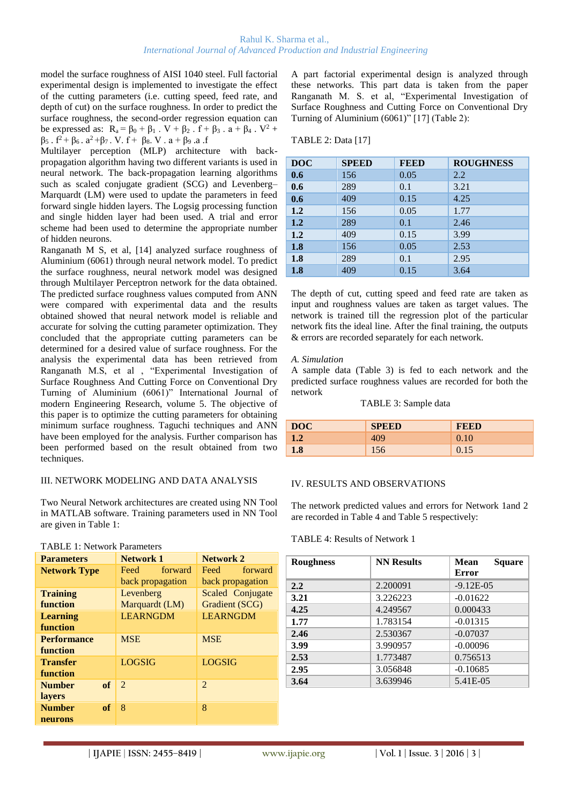model the surface roughness of AISI 1040 steel. Full factorial experimental design is implemented to investigate the effect of the cutting parameters (i.e. cutting speed, feed rate, and depth of cut) on the surface roughness. In order to predict the surface roughness, the second-order regression equation can be expressed as:  $R_a = \beta_0 + \beta_1$ .  $V + \beta_2$ .  $f + \beta_3$ .  $a + \beta_4$ .  $V^2$  +  $β_5$ .  $f^2 + β_6$ .  $a^2 + β_7$ . V.  $f + β_8$ . V.  $a + β_9$ . a. f

Multilayer perception (MLP) architecture with backpropagation algorithm having two different variants is used in neural network. The back-propagation learning algorithms such as scaled conjugate gradient (SCG) and Levenberg– Marquardt (LM) were used to update the parameters in feed forward single hidden layers. The Logsig processing function and single hidden layer had been used. A trial and error scheme had been used to determine the appropriate number of hidden neurons.

Ranganath M S, et al, [14] analyzed surface roughness of Aluminium (6061) through neural network model. To predict the surface roughness, neural network model was designed through Multilayer Perceptron network for the data obtained. The predicted surface roughness values computed from ANN were compared with experimental data and the results obtained showed that neural network model is reliable and accurate for solving the cutting parameter optimization. They concluded that the appropriate cutting parameters can be determined for a desired value of surface roughness. For the analysis the experimental data has been retrieved from Ranganath M.S, et al , "Experimental Investigation of Surface Roughness And Cutting Force on Conventional Dry Turning of Aluminium (6061)" International Journal of modern Engineering Research, volume 5. The objective of this paper is to optimize the cutting parameters for obtaining minimum surface roughness. Taguchi techniques and ANN have been employed for the analysis. Further comparison has been performed based on the result obtained from two techniques.

#### III. NETWORK MODELING AND DATA ANALYSIS

TABLE 1: Network Parameters

Two Neural Network architectures are created using NN Tool in MATLAB software. Training parameters used in NN Tool are given in Table 1:

| 111000 1.1, et music 1 di dinviere |                  |                  |  |  |
|------------------------------------|------------------|------------------|--|--|
| <b>Parameters</b>                  | Network 1        | <b>Network 2</b> |  |  |
| <b>Network Type</b>                | forward<br>Feed  | forward<br>Feed  |  |  |
|                                    | back propagation | back propagation |  |  |
| <b>Training</b>                    | Levenberg        | Scaled Conjugate |  |  |
| function                           | Marquardt (LM)   | Gradient (SCG)   |  |  |
| <b>Learning</b>                    | <b>LEARNGDM</b>  | <b>LEARNGDM</b>  |  |  |
| function                           |                  |                  |  |  |
| <b>Performance</b>                 | <b>MSE</b>       | <b>MSE</b>       |  |  |
| function                           |                  |                  |  |  |
| <b>Transfer</b>                    | LOGSIG           | <b>LOGSIG</b>    |  |  |
| function                           |                  |                  |  |  |
| of<br><b>Number</b>                | $\mathcal{D}$    | $\mathfrak{D}$   |  |  |
| <b>layers</b>                      |                  |                  |  |  |
| <b>Number</b><br>of                | 8                | 8                |  |  |
| neurons                            |                  |                  |  |  |

A part factorial experimental design is analyzed through these networks. This part data is taken from the paper Ranganath M. S. et al, "Experimental Investigation of Surface Roughness and Cutting Force on Conventional Dry Turning of Aluminium (6061)" [17] (Table 2):

| TABLE 2: Data [17] |  |  |
|--------------------|--|--|
|                    |  |  |

| <b>DOC</b> | <b>SPEED</b> | <b>FEED</b> | <b>ROUGHNESS</b> |
|------------|--------------|-------------|------------------|
| 0.6        | 156          | 0.05        | 2.2              |
| 0.6        | 289          | 0.1         | 3.21             |
| 0.6        | 409          | 0.15        | 4.25             |
| 1.2        | 156          | 0.05        | 1.77             |
| 1.2        | 289          | 0.1         | 2.46             |
| 1.2        | 409          | 0.15        | 3.99             |
| 1.8        | 156          | 0.05        | 2.53             |
| 1.8        | 289          | 0.1         | 2.95             |
| 1.8        | 409          | 0.15        | 3.64             |

The depth of cut, cutting speed and feed rate are taken as input and roughness values are taken as target values. The network is trained till the regression plot of the particular network fits the ideal line. After the final training, the outputs & errors are recorded separately for each network.

#### *A. Simulation*

A sample data (Table 3) is fed to each network and the predicted surface roughness values are recorded for both the network

#### TABLE 3: Sample data

| <b>DOC</b>     | <b>SPEED</b> | <b>FEED</b> |
|----------------|--------------|-------------|
| $\mathbf{1.2}$ | 409          | 0.10        |
| 1.8            | 156          | 0.15        |

# IV. RESULTS AND OBSERVATIONS

The network predicted values and errors for Network 1and 2 are recorded in Table 4 and Table 5 respectively:

#### TABLE 4: Results of Network 1

| <b>Roughness</b> | <b>NN Results</b> | <b>Square</b><br><b>Mean</b><br><b>Error</b> |  |
|------------------|-------------------|----------------------------------------------|--|
| 2.2              | 2.200091          | $-9.12E-05$                                  |  |
| 3.21             | 3.226223          | $-0.01622$                                   |  |
| 4.25             | 4.249567          | 0.000433                                     |  |
| 1.77             | 1.783154          | $-0.01315$                                   |  |
| 2.46             | 2.530367          | $-0.07037$                                   |  |
| 3.99             | 3.990957          | $-0.00096$                                   |  |
| 2.53             | 1.773487          | 0.756513                                     |  |
| 2.95             | 3.056848          | $-0.10685$                                   |  |
| 3.64             | 3.639946          | 5.41E-05                                     |  |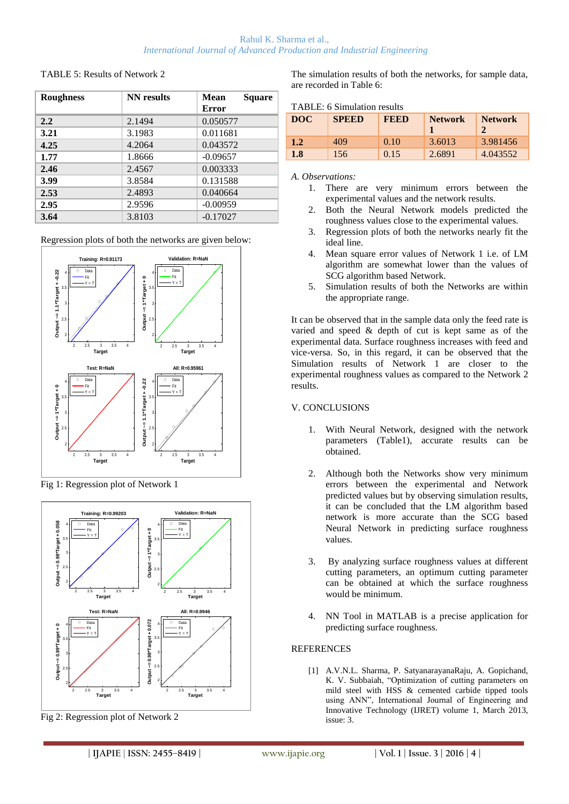#### Rahul K. Sharma et al., *International Journal of Advanced Production and Industrial Engineering*

#### TABLE 5: Results of Network 2

| <b>Roughness</b> | NN results | <b>Square</b><br><b>Mean</b> |  |
|------------------|------------|------------------------------|--|
|                  |            | Error                        |  |
| 2.2              | 2.1494     | 0.050577                     |  |
| 3.21             | 3.1983     | 0.011681                     |  |
| 4.25             | 4.2064     | 0.043572                     |  |
| 1.77             | 1.8666     | $-0.09657$                   |  |
| 2.46             | 2.4567     | 0.003333                     |  |
| 3.99             | 3.8584     | 0.131588                     |  |
| 2.53             | 2.4893     | 0.040664                     |  |
| 2.95             | 2.9596     | $-0.00959$                   |  |
| 3.64             | 3.8103     | $-0.17027$                   |  |

Regression plots of both the networks are given below:



Fig 1: Regression plot of Network 1



Fig 2: Regression plot of Network 2

The simulation results of both the networks, for sample data, are recorded in Table 6:

TABLE: 6 Simulation results

| 111223. v Dhinanuvii 1090.00 |              |             |                |                                      |
|------------------------------|--------------|-------------|----------------|--------------------------------------|
| DOC                          | <b>SPEED</b> | <b>FEED</b> | <b>Network</b> | <b>Network</b><br>$\mathbf{\hat{z}}$ |
| 1.2                          | 409          | 0.10        | 3.6013         | 3.981456                             |
| 1.8                          | 156          | 0.15        | 2.6891         | 4.043552                             |

#### *A. Observations:*

- 1. There are very minimum errors between the experimental values and the network results.
- 2. Both the Neural Network models predicted the roughness values close to the experimental values.
- 3. Regression plots of both the networks nearly fit the ideal line.
- 4. Mean square error values of Network 1 i.e. of LM algorithm are somewhat lower than the values of SCG algorithm based Network.
- 5. Simulation results of both the Networks are within the appropriate range.

It can be observed that in the sample data only the feed rate is varied and speed & depth of cut is kept same as of the experimental data. Surface roughness increases with feed and vice-versa. So, in this regard, it can be observed that the Simulation results of Network 1 are closer to the experimental roughness values as compared to the Network 2 results.

# V. CONCLUSIONS

- 1. With Neural Network, designed with the network parameters (Table1), accurate results can be obtained.
- 2. Although both the Networks show very minimum errors between the experimental and Network predicted values but by observing simulation results, it can be concluded that the LM algorithm based network is more accurate than the SCG based Neural Network in predicting surface roughness values.
- 3. By analyzing surface roughness values at different cutting parameters, an optimum cutting parameter can be obtained at which the surface roughness would be minimum.
- 4. NN Tool in MATLAB is a precise application for predicting surface roughness.

# **REFERENCES**

[1] A.V.N.L. Sharma, P. SatyanarayanaRaju, A. Gopichand, K. V. Subbaiah, "Optimization of cutting parameters on mild steel with HSS & cemented carbide tipped tools using ANN", International Journal of Engineering and Innovative Technology (IJRET) volume 1, March 2013, issue: 3.